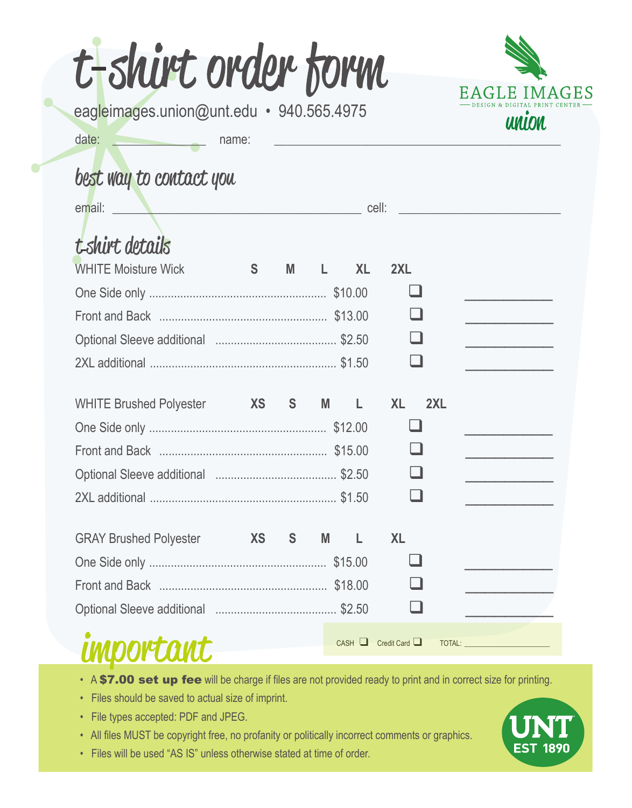| eagleimages.union@unt.edu · 940.565.4975 |                                                            |              |          |           |           | <b>UNION</b> |
|------------------------------------------|------------------------------------------------------------|--------------|----------|-----------|-----------|--------------|
| date:                                    | name:                                                      |              |          |           |           |              |
| best way to contact you                  |                                                            |              |          |           |           |              |
| email:                                   | cell:<br><u> 1980 - Andrea Brand, amerikansk politik (</u> |              |          |           |           |              |
| t-shirt details                          |                                                            |              |          |           |           |              |
| <b>WHITE Moisture Wick</b>               | S                                                          | M            |          | <b>XL</b> | 2XL       |              |
|                                          |                                                            |              |          |           |           |              |
|                                          |                                                            |              |          |           |           |              |
|                                          |                                                            |              |          |           |           |              |
|                                          |                                                            |              |          |           |           |              |
| WHITE Brushed Polyester XS S             |                                                            |              | <b>M</b> | L.        | <b>XL</b> | 2XL          |
|                                          |                                                            |              |          |           |           |              |
|                                          |                                                            |              |          |           |           |              |
|                                          |                                                            |              |          |           |           |              |
|                                          |                                                            |              |          |           |           |              |
| <b>GRAY Brushed Polyester</b>            | <b>Example 25</b>                                          | <sub>S</sub> | M        |           | <b>XL</b> |              |
|                                          |                                                            |              |          |           |           |              |
|                                          |                                                            |              |          |           |           |              |
|                                          |                                                            |              |          |           |           |              |

- A \$7.00 set up fee will be charge if files are not provided ready to print and in correct size for printing.
- Files should be saved to actual size of imprint.
- File types accepted: PDF and JPEG.

- All files MUST be copyright free, no profanity or politically incorrect comments or graphics.
- Files will be used "AS IS" unless otherwise stated at time of order.